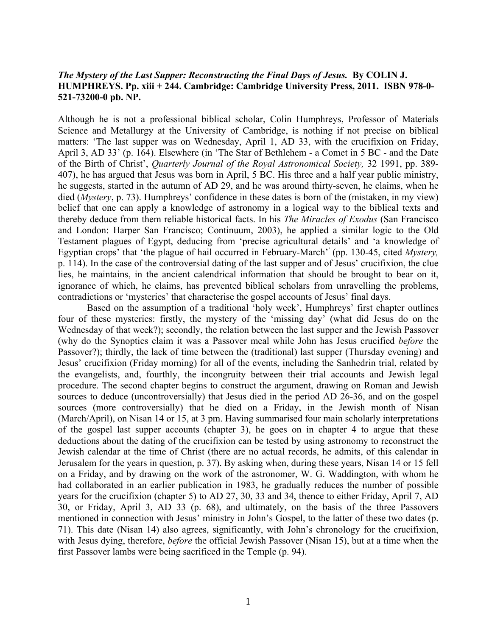## *The Mystery of the Last Supper: Reconstructing the Final Days of Jesus.* **By COLIN J. HUMPHREYS. Pp. xiii + 244. Cambridge: Cambridge University Press, 2011. ISBN 978-0- 521-73200-0 pb. NP.**

Although he is not a professional biblical scholar, Colin Humphreys, Professor of Materials Science and Metallurgy at the University of Cambridge, is nothing if not precise on biblical matters: 'The last supper was on Wednesday, April 1, AD 33, with the crucifixion on Friday, April 3, AD 33' (p. 164). Elsewhere (in 'The Star of Bethlehem - a Comet in 5 BC - and the Date of the Birth of Christ', *Quarterly Journal of the Royal Astronomical Society,* 32 1991, pp. 389- 407), he has argued that Jesus was born in April, 5 BC. His three and a half year public ministry, he suggests, started in the autumn of AD 29, and he was around thirty-seven, he claims, when he died (*Mystery*, p. 73). Humphreys' confidence in these dates is born of the (mistaken, in my view) belief that one can apply a knowledge of astronomy in a logical way to the biblical texts and thereby deduce from them reliable historical facts. In his *The Miracles of Exodus* (San Francisco and London: Harper San Francisco; Continuum, 2003), he applied a similar logic to the Old Testament plagues of Egypt, deducing from 'precise agricultural details' and 'a knowledge of Egyptian crops' that 'the plague of hail occurred in February-March'' (pp. 130-45, cited *Mystery,*  p. 114). In the case of the controversial dating of the last supper and of Jesus' crucifixion, the clue lies, he maintains, in the ancient calendrical information that should be brought to bear on it, ignorance of which, he claims, has prevented biblical scholars from unravelling the problems, contradictions or 'mysteries' that characterise the gospel accounts of Jesus' final days.

Based on the assumption of a traditional 'holy week', Humphreys' first chapter outlines four of these mysteries: firstly, the mystery of the 'missing day' (what did Jesus do on the Wednesday of that week?); secondly, the relation between the last supper and the Jewish Passover (why do the Synoptics claim it was a Passover meal while John has Jesus crucified *before* the Passover?); thirdly, the lack of time between the (traditional) last supper (Thursday evening) and Jesus' crucifixion (Friday morning) for all of the events, including the Sanhedrin trial, related by the evangelists, and, fourthly, the incongruity between their trial accounts and Jewish legal procedure. The second chapter begins to construct the argument, drawing on Roman and Jewish sources to deduce (uncontroversially) that Jesus died in the period AD 26-36, and on the gospel sources (more controversially) that he died on a Friday, in the Jewish month of Nisan (March/April), on Nisan 14 or 15, at 3 pm. Having summarised four main scholarly interpretations of the gospel last supper accounts (chapter 3), he goes on in chapter 4 to argue that these deductions about the dating of the crucifixion can be tested by using astronomy to reconstruct the Jewish calendar at the time of Christ (there are no actual records, he admits, of this calendar in Jerusalem for the years in question, p. 37). By asking when, during these years, Nisan 14 or 15 fell on a Friday, and by drawing on the work of the astronomer, W. G. Waddington, with whom he had collaborated in an earlier publication in 1983, he gradually reduces the number of possible years for the crucifixion (chapter 5) to AD 27, 30, 33 and 34, thence to either Friday, April 7, AD 30, or Friday, April 3, AD 33 (p. 68), and ultimately, on the basis of the three Passovers mentioned in connection with Jesus' ministry in John's Gospel, to the latter of these two dates (p. 71). This date (Nisan 14) also agrees, significantly, with John's chronology for the crucifixion, with Jesus dying, therefore, *before* the official Jewish Passover (Nisan 15), but at a time when the first Passover lambs were being sacrificed in the Temple (p. 94).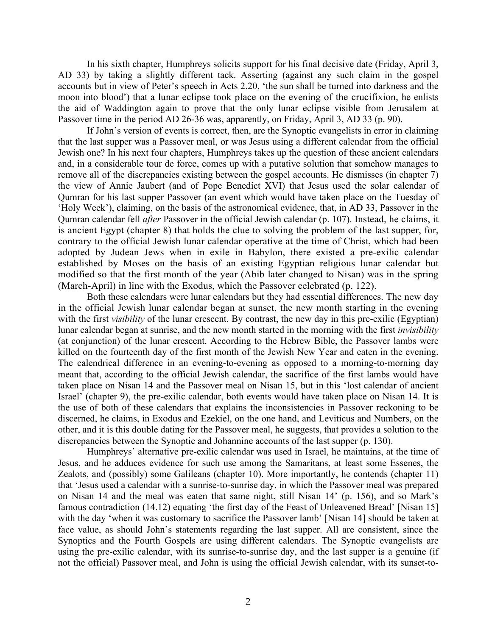In his sixth chapter, Humphreys solicits support for his final decisive date (Friday, April 3, AD 33) by taking a slightly different tack. Asserting (against any such claim in the gospel accounts but in view of Peter's speech in Acts 2.20, 'the sun shall be turned into darkness and the moon into blood') that a lunar eclipse took place on the evening of the crucifixion, he enlists the aid of Waddington again to prove that the only lunar eclipse visible from Jerusalem at Passover time in the period AD 26-36 was, apparently, on Friday, April 3, AD 33 (p. 90).

If John's version of events is correct, then, are the Synoptic evangelists in error in claiming that the last supper was a Passover meal, or was Jesus using a different calendar from the official Jewish one? In his next four chapters, Humphreys takes up the question of these ancient calendars and, in a considerable tour de force, comes up with a putative solution that somehow manages to remove all of the discrepancies existing between the gospel accounts. He dismisses (in chapter 7) the view of Annie Jaubert (and of Pope Benedict XVI) that Jesus used the solar calendar of Qumran for his last supper Passover (an event which would have taken place on the Tuesday of 'Holy Week'), claiming, on the basis of the astronomical evidence, that, in AD 33, Passover in the Qumran calendar fell *after* Passover in the official Jewish calendar (p. 107). Instead, he claims, it is ancient Egypt (chapter 8) that holds the clue to solving the problem of the last supper, for, contrary to the official Jewish lunar calendar operative at the time of Christ, which had been adopted by Judean Jews when in exile in Babylon, there existed a pre-exilic calendar established by Moses on the basis of an existing Egyptian religious lunar calendar but modified so that the first month of the year (Abib later changed to Nisan) was in the spring (March-April) in line with the Exodus, which the Passover celebrated (p. 122).

Both these calendars were lunar calendars but they had essential differences. The new day in the official Jewish lunar calendar began at sunset, the new month starting in the evening with the first *visibility* of the lunar crescent. By contrast, the new day in this pre-exilic (Egyptian) lunar calendar began at sunrise, and the new month started in the morning with the first *invisibility* (at conjunction) of the lunar crescent. According to the Hebrew Bible, the Passover lambs were killed on the fourteenth day of the first month of the Jewish New Year and eaten in the evening. The calendrical difference in an evening-to-evening as opposed to a morning-to-morning day meant that, according to the official Jewish calendar, the sacrifice of the first lambs would have taken place on Nisan 14 and the Passover meal on Nisan 15, but in this 'lost calendar of ancient Israel' (chapter 9), the pre-exilic calendar, both events would have taken place on Nisan 14. It is the use of both of these calendars that explains the inconsistencies in Passover reckoning to be discerned, he claims, in Exodus and Ezekiel, on the one hand, and Leviticus and Numbers, on the other, and it is this double dating for the Passover meal, he suggests, that provides a solution to the discrepancies between the Synoptic and Johannine accounts of the last supper (p. 130).

Humphreys' alternative pre-exilic calendar was used in Israel, he maintains, at the time of Jesus, and he adduces evidence for such use among the Samaritans, at least some Essenes, the Zealots, and (possibly) some Galileans (chapter 10). More importantly, he contends (chapter 11) that 'Jesus used a calendar with a sunrise-to-sunrise day, in which the Passover meal was prepared on Nisan 14 and the meal was eaten that same night, still Nisan 14' (p. 156), and so Mark's famous contradiction (14.12) equating 'the first day of the Feast of Unleavened Bread' [Nisan 15] with the day 'when it was customary to sacrifice the Passover lamb' [Nisan 14] should be taken at face value, as should John's statements regarding the last supper. All are consistent, since the Synoptics and the Fourth Gospels are using different calendars. The Synoptic evangelists are using the pre-exilic calendar, with its sunrise-to-sunrise day, and the last supper is a genuine (if not the official) Passover meal, and John is using the official Jewish calendar, with its sunset-to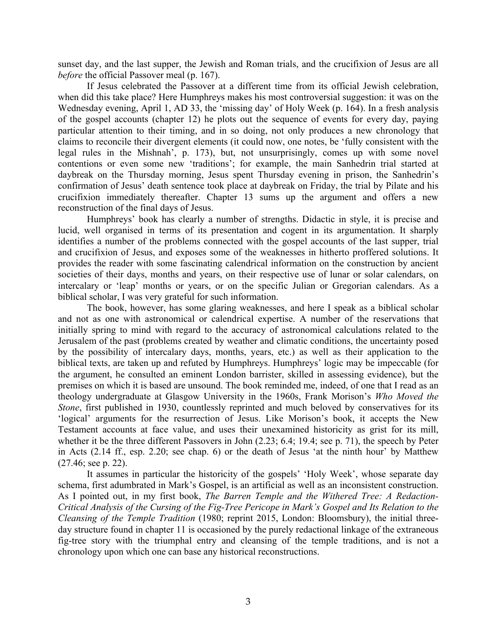sunset day, and the last supper, the Jewish and Roman trials, and the crucifixion of Jesus are all *before* the official Passover meal (p. 167).

If Jesus celebrated the Passover at a different time from its official Jewish celebration, when did this take place? Here Humphreys makes his most controversial suggestion: it was on the Wednesday evening, April 1, AD 33, the 'missing day' of Holy Week (p. 164). In a fresh analysis of the gospel accounts (chapter 12) he plots out the sequence of events for every day, paying particular attention to their timing, and in so doing, not only produces a new chronology that claims to reconcile their divergent elements (it could now, one notes, be 'fully consistent with the legal rules in the Mishnah', p. 173), but, not unsurprisingly, comes up with some novel contentions or even some new 'traditions'; for example, the main Sanhedrin trial started at daybreak on the Thursday morning, Jesus spent Thursday evening in prison, the Sanhedrin's confirmation of Jesus' death sentence took place at daybreak on Friday, the trial by Pilate and his crucifixion immediately thereafter. Chapter 13 sums up the argument and offers a new reconstruction of the final days of Jesus.

Humphreys' book has clearly a number of strengths. Didactic in style, it is precise and lucid, well organised in terms of its presentation and cogent in its argumentation. It sharply identifies a number of the problems connected with the gospel accounts of the last supper, trial and crucifixion of Jesus, and exposes some of the weaknesses in hitherto proffered solutions. It provides the reader with some fascinating calendrical information on the construction by ancient societies of their days, months and years, on their respective use of lunar or solar calendars, on intercalary or 'leap' months or years, or on the specific Julian or Gregorian calendars. As a biblical scholar, I was very grateful for such information.

The book, however, has some glaring weaknesses, and here I speak as a biblical scholar and not as one with astronomical or calendrical expertise. A number of the reservations that initially spring to mind with regard to the accuracy of astronomical calculations related to the Jerusalem of the past (problems created by weather and climatic conditions, the uncertainty posed by the possibility of intercalary days, months, years, etc.) as well as their application to the biblical texts, are taken up and refuted by Humphreys. Humphreys' logic may be impeccable (for the argument, he consulted an eminent London barrister, skilled in assessing evidence), but the premises on which it is based are unsound. The book reminded me, indeed, of one that I read as an theology undergraduate at Glasgow University in the 1960s, Frank Morison's *Who Moved the Stone*, first published in 1930, countlessly reprinted and much beloved by conservatives for its 'logical' arguments for the resurrection of Jesus. Like Morison's book, it accepts the New Testament accounts at face value, and uses their unexamined historicity as grist for its mill, whether it be the three different Passovers in John (2.23; 6.4; 19.4; see p. 71), the speech by Peter in Acts (2.14 ff., esp. 2.20; see chap. 6) or the death of Jesus 'at the ninth hour' by Matthew (27.46; see p. 22).

It assumes in particular the historicity of the gospels' 'Holy Week', whose separate day schema, first adumbrated in Mark's Gospel, is an artificial as well as an inconsistent construction. As I pointed out, in my first book, *The Barren Temple and the Withered Tree: A Redaction-Critical Analysis of the Cursing of the Fig-Tree Pericope in Mark's Gospel and Its Relation to the Cleansing of the Temple Tradition* (1980; reprint 2015, London: Bloomsbury), the initial threeday structure found in chapter 11 is occasioned by the purely redactional linkage of the extraneous fig-tree story with the triumphal entry and cleansing of the temple traditions, and is not a chronology upon which one can base any historical reconstructions.